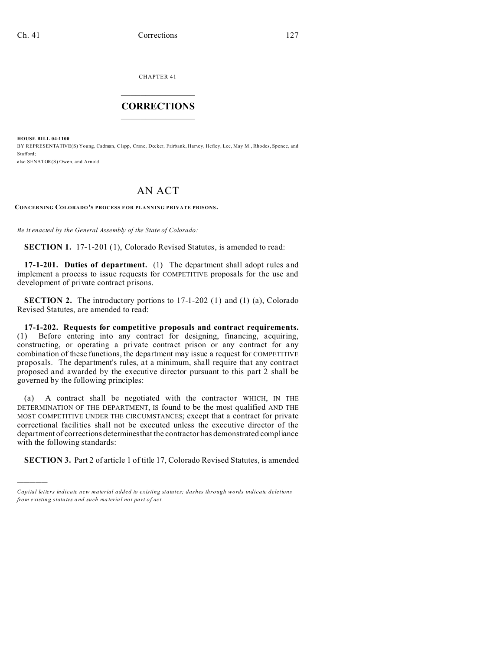CHAPTER 41  $\overline{\phantom{a}}$  , where  $\overline{\phantom{a}}$ 

## **CORRECTIONS**  $\frac{1}{2}$  ,  $\frac{1}{2}$  ,  $\frac{1}{2}$  ,  $\frac{1}{2}$  ,  $\frac{1}{2}$  ,  $\frac{1}{2}$

**HOUSE BILL 04-1100**

)))))

BY REPRESENTATIVE(S) Young, Cadman, Clapp, Crane, Decker, Fairbank, Harvey, Hefley, Lee, May M., Rhodes, Spence, and Stafford; also SENATOR(S) Owen, and Arnold.

## AN ACT

**CONCERNING COLORADO'S PROCESS F OR PLANNING PRIVATE PRISONS.**

*Be it enacted by the General Assembly of the State of Colorado:*

**SECTION 1.** 17-1-201 (1), Colorado Revised Statutes, is amended to read:

**17-1-201. Duties of department.** (1) The department shall adopt rules and implement a process to issue requests for COMPETITIVE proposals for the use and development of private contract prisons.

**SECTION 2.** The introductory portions to 17-1-202 (1) and (1) (a), Colorado Revised Statutes, are amended to read:

**17-1-202. Requests for competitive proposals and contract requirements.** (1) Before entering into any contract for designing, financing, acquiring, constructing, or operating a private contract prison or any contract for any combination of these functions, the department may issue a request for COMPETITIVE proposals. The department's rules, at a minimum, shall require that any contract proposed and awarded by the executive director pursuant to this part 2 shall be governed by the following principles:

(a) A contract shall be negotiated with the contractor WHICH, IN THE DETERMINATION OF THE DEPARTMENT, IS found to be the most qualified AND THE MOST COMPETITIVE UNDER THE CIRCUMSTANCES; except that a contract for private correctional facilities shall not be executed unless the executive director of the department of corrections determinesthat the contractor has demonstrated compliance with the following standards:

**SECTION 3.** Part 2 of article 1 of title 17, Colorado Revised Statutes, is amended

*Capital letters indicate new material added to existing statutes; dashes through words indicate deletions from e xistin g statu tes a nd such ma teria l no t pa rt of ac t.*